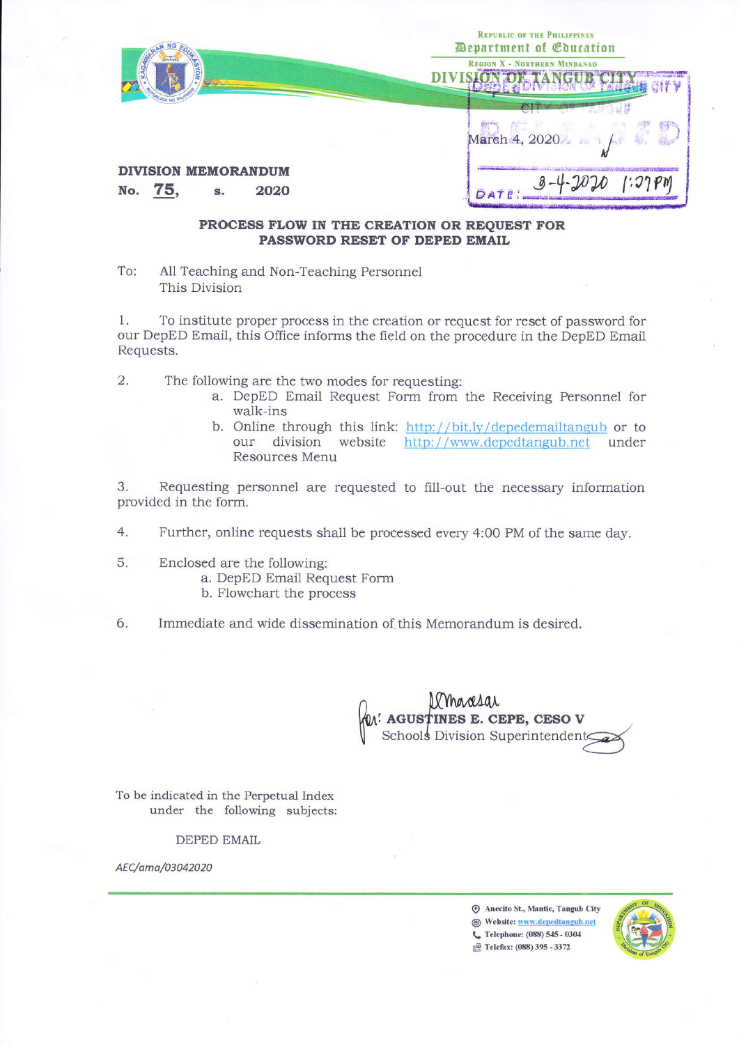| <b>AGAIN</b>                                        | <b>REPUBLIC OF THE PHILIPPINES</b><br><b><i>Department of Coucation</i></b><br><b>REGION X - NORTHERN MINDANAO</b><br>Vivil |
|-----------------------------------------------------|-----------------------------------------------------------------------------------------------------------------------------|
|                                                     | March 4, 2020.                                                                                                              |
| <b>DIVISION MEMORANDUM</b><br>No. 75,<br>2020<br>S. |                                                                                                                             |

## PROCESS FLOW IN THE CREATION OR REOUEST FOR PASSWORD RESET OF DEPED EMAIL

To: All Teaching and Non-Teaching Personnel This Division

To institute proper process in the creation or request for reset of password for 1. our DepED Email, this Office informs the field on the procedure in the DepED Email Requests.

 $\overline{2}$ . The following are the two modes for requesting:

- a. DepED Email Request Form from the Receiving Personnel for walk-ins
- b. Online through this link: http://bit.ly/depedemailtangub or to our division website http://www.depedtangub.net under Resources Menu

3. Requesting personnel are requested to fill-out the necessary information provided in the form.

4. Further, online requests shall be processed every 4:00 PM of the same day.

- 5. Enclosed are the following:
	- a. DepED Email Request Form
	- b. Flowchart the process
- 6. Immediate and wide dissemination of this Memorandum is desired.

UMARIAL<br>M: AGUSTINES E. CEPE, CESO V<br>Schools Division Superintendents

To be indicated in the Perpetual Index under the following subjects:

**DEPED EMAIL** 

AEC/ama/03042020

S Anecito St., Mantic, Tangub City Website: www.depedtangub.net C Telephone: (088) 545 - 0304 Telefax: (088) 395 - 3372

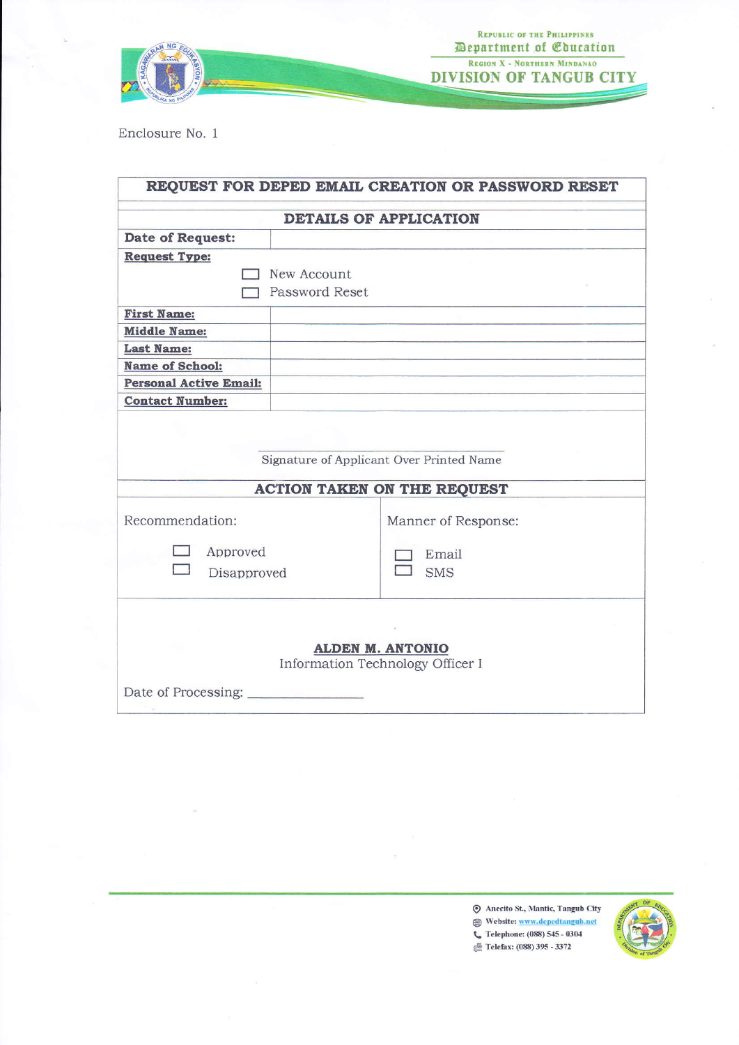

Enclosure No. 1

| REQUEST FOR DEPED EMAIL CREATION OR PASSWORD RESET          |                |                     |
|-------------------------------------------------------------|----------------|---------------------|
| <b>DETAILS OF APPLICATION</b>                               |                |                     |
| Date of Request:                                            |                |                     |
| <b>Request Type:</b>                                        |                |                     |
| New Account                                                 |                |                     |
|                                                             | Password Reset |                     |
| <b>First Name:</b>                                          |                |                     |
| <b>Middle Name:</b>                                         |                |                     |
| <b>Last Name:</b>                                           |                |                     |
| <b>Name of School:</b>                                      |                |                     |
| <b>Personal Active Email:</b>                               |                |                     |
| <b>Contact Number:</b>                                      |                |                     |
| Signature of Applicant Over Printed Name                    |                |                     |
| <b>ACTION TAKEN ON THE REQUEST</b>                          |                |                     |
| Recommendation:                                             |                | Manner of Response: |
| Approved                                                    |                | Email               |
| Disapproved                                                 |                | <b>SMS</b>          |
|                                                             |                |                     |
| <b>ALDEN M. ANTONIO</b><br>Information Technology Officer I |                |                     |
| Date of Processing:                                         |                |                     |

Anecito St., Mantic, Tangub City Website: www.depedtangub.net C Telephone: (088) 545 - 0304 Telefax: (088) 395 - 3372